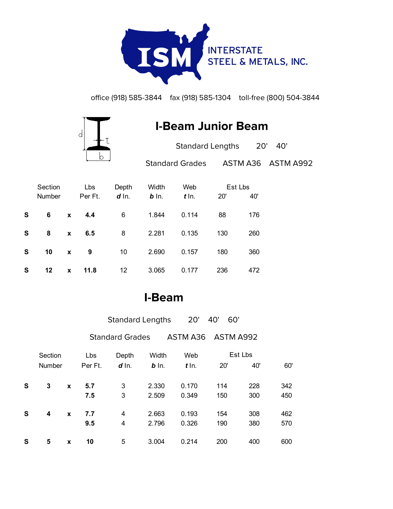

office (918) 585-3844 fax (918) 585-1304 toll-free (800) 504-3844



## **I-Beam Junior Beam**

| <b>Standard Lengths</b> | 20' 40'            |
|-------------------------|--------------------|
| <b>Standard Grades</b>  | ASTM A36 ASTM A992 |

|   | Section       |   | Lbs     | Depth     | Width   | Web     | Est Lbs |     |
|---|---------------|---|---------|-----------|---------|---------|---------|-----|
|   | <b>Number</b> |   | Per Ft. | $d \ln$ . | $b$ In. | $t$ In. | 20'     | 40' |
| S | 6             | X | 4.4     | 6         | 1.844   | 0.114   | 88      | 176 |
| S | 8             | X | 6.5     | 8         | 2.281   | 0.135   | 130     | 260 |
| S | 10            | X | 9       | 10        | 2.690   | 0.157   | 180     | 360 |
| S | 12            | X | 11.8    | 12        | 3.065   | 0.177   | 236     | 472 |

## **I-Beam**

|   |               |             |         | <b>Standard Lengths</b> |         | 20'      | 40'<br>60' |     |     |
|---|---------------|-------------|---------|-------------------------|---------|----------|------------|-----|-----|
|   |               |             |         | <b>Standard Grades</b>  |         | ASTM A36 | ASTM A992  |     |     |
|   | Section       |             | Lbs     | Depth<br>Width          |         | Web      | Est Lbs    |     |     |
|   | <b>Number</b> |             | Per Ft. | $d$ In.                 | $b$ In. | $t$ In.  | 20'        | 40' | 60' |
| S | 3             | X           | 5.7     | 3                       | 2.330   | 0.170    | 114        | 228 | 342 |
|   |               |             | 7.5     | 3                       | 2.509   | 0.349    | 150        | 300 | 450 |
| S | 4             | $\mathbf x$ | 7.7     | 4                       | 2.663   | 0.193    | 154        | 308 | 462 |
|   |               |             | 9.5     | 4                       | 2.796   | 0.326    | 190        | 380 | 570 |
| S | 5             | X           | 10      | 5                       | 3.004   | 0.214    | 200        | 400 | 600 |